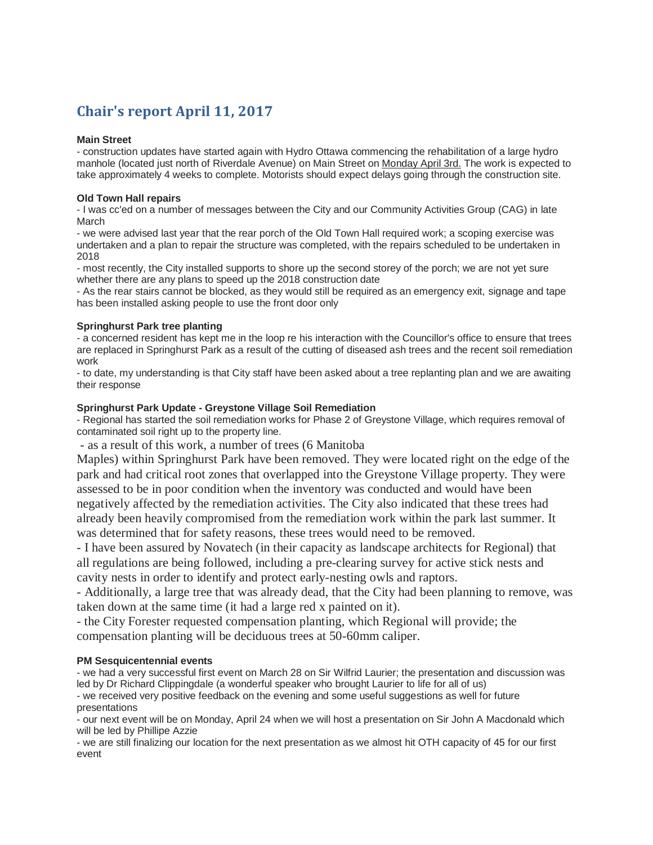# **Chair's report April 11, 2017**

#### **Main Street**

- construction updates have started again with Hydro Ottawa commencing the rehabilitation of a large hydro manhole (located just north of Riverdale Avenue) on Main Street on Monday April 3rd. The work is expected to take approximately 4 weeks to complete. Motorists should expect delays going through the construction site.

#### **Old Town Hall repairs**

- I was cc'ed on a number of messages between the City and our Community Activities Group (CAG) in late March

- we were advised last year that the rear porch of the Old Town Hall required work; a scoping exercise was undertaken and a plan to repair the structure was completed, with the repairs scheduled to be undertaken in 2018

- most recently, the City installed supports to shore up the second storey of the porch; we are not yet sure whether there are any plans to speed up the 2018 construction date

- As the rear stairs cannot be blocked, as they would still be required as an emergency exit, signage and tape has been installed asking people to use the front door only

## **Springhurst Park tree planting**

- a concerned resident has kept me in the loop re his interaction with the Councillor's office to ensure that trees are replaced in Springhurst Park as a result of the cutting of diseased ash trees and the recent soil remediation work

- to date, my understanding is that City staff have been asked about a tree replanting plan and we are awaiting their response

## **Springhurst Park Update - Greystone Village Soil Remediation**

- Regional has started the soil remediation works for Phase 2 of Greystone Village, which requires removal of contaminated soil right up to the property line.

- as a result of this work, a number of trees (6 Manitoba

Maples) within Springhurst Park have been removed. They were located right on the edge of the park and had critical root zones that overlapped into the Greystone Village property. They were assessed to be in poor condition when the inventory was conducted and would have been negatively affected by the remediation activities. The City also indicated that these trees had already been heavily compromised from the remediation work within the park last summer. It was determined that for safety reasons, these trees would need to be removed.

- I have been assured by Novatech (in their capacity as landscape architects for Regional) that all regulations are being followed, including a pre-clearing survey for active stick nests and cavity nests in order to identify and protect early-nesting owls and raptors.

- Additionally, a large tree that was already dead, that the City had been planning to remove, was taken down at the same time (it had a large red x painted on it).

- the City Forester requested compensation planting, which Regional will provide; the compensation planting will be deciduous trees at 50-60mm caliper.

## **PM Sesquicentennial events**

- we had a very successful first event on March 28 on Sir Wilfrid Laurier; the presentation and discussion was led by Dr Richard Clippingdale (a wonderful speaker who brought Laurier to life for all of us)

- we received very positive feedback on the evening and some useful suggestions as well for future presentations

- our next event will be on Monday, April 24 when we will host a presentation on Sir John A Macdonald which will be led by Phillipe Azzie

- we are still finalizing our location for the next presentation as we almost hit OTH capacity of 45 for our first event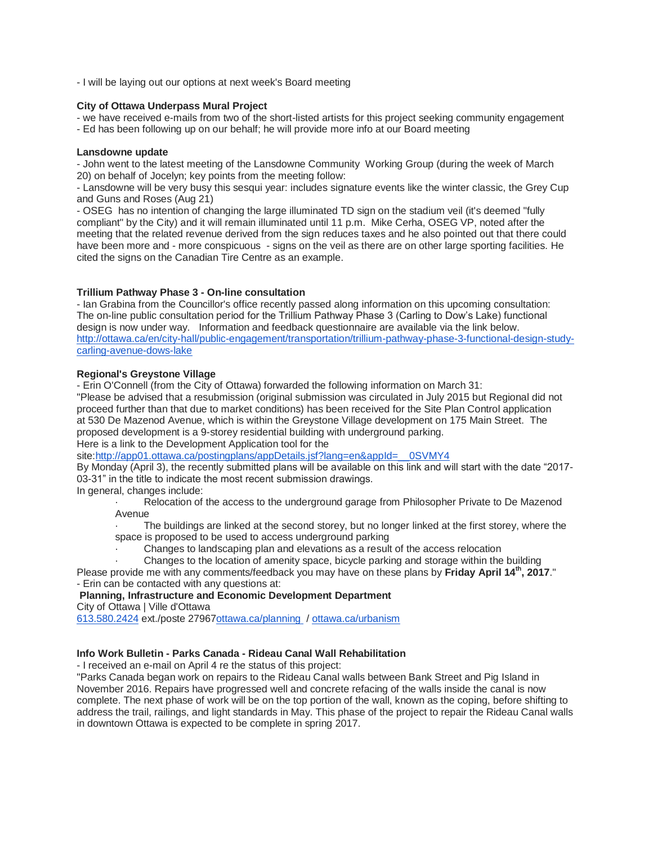- I will be laying out our options at next week's Board meeting

#### **City of Ottawa Underpass Mural Project**

- we have received e-mails from two of the short-listed artists for this project seeking community engagement

- Ed has been following up on our behalf; he will provide more info at our Board meeting

#### **Lansdowne update**

- John went to the latest meeting of the Lansdowne Community Working Group (during the week of March 20) on behalf of Jocelyn; key points from the meeting follow:

- Lansdowne will be very busy this sesqui year: includes signature events like the winter classic, the Grey Cup and Guns and Roses (Aug 21)

- OSEG has no intention of changing the large illuminated TD sign on the stadium veil (it's deemed "fully compliant" by the City) and it will remain illuminated until 11 p.m. Mike Cerha, OSEG VP, noted after the meeting that the related revenue derived from the sign reduces taxes and he also pointed out that there could have been more and - more conspicuous - signs on the veil as there are on other large sporting facilities. He cited the signs on the Canadian Tire Centre as an example.

## **Trillium Pathway Phase 3 - On-line consultation**

- Ian Grabina from the Councillor's office recently passed along information on this upcoming consultation: The on-line public consultation period for the Trillium Pathway Phase 3 (Carling to Dow's Lake) functional design is now under way. Information and feedback questionnaire are available via the link below. [http://ottawa.ca/en/city-hall/public-engagement/transportation/trillium-pathway-phase-3-functional-design-study](http://ottawa.ca/en/city-hall/public-engagement/transportation/trillium-pathway-phase-3-functional-design-study-carling-avenue-dows-lake)[carling-avenue-dows-lake](http://ottawa.ca/en/city-hall/public-engagement/transportation/trillium-pathway-phase-3-functional-design-study-carling-avenue-dows-lake)

#### **Regional's Greystone Village**

- Erin O'Connell (from the City of Ottawa) forwarded the following information on March 31:

"Please be advised that a resubmission (original submission was circulated in July 2015 but Regional did not proceed further than that due to market conditions) has been received for the Site Plan Control application at 530 De Mazenod Avenue, which is within the Greystone Village development on 175 Main Street. The proposed development is a 9-storey residential building with underground parking. Here is a link to the Development Application tool for the

site[:http://app01.ottawa.ca/postingplans/appDetails.jsf?lang=en&appId=\\_\\_0SVMY4](http://app01.ottawa.ca/postingplans/appDetails.jsf?lang=en&appId=__0SVMY4)

By Monday (April 3), the recently submitted plans will be available on this link and will start with the date "2017- 03-31" in the title to indicate the most recent submission drawings.

In general, changes include:

Relocation of the access to the underground garage from Philosopher Private to De Mazenod Avenue

The buildings are linked at the second storey, but no longer linked at the first storey, where the space is proposed to be used to access underground parking

· Changes to landscaping plan and elevations as a result of the access relocation

· Changes to the location of amenity space, bicycle parking and storage within the building Please provide me with any comments/feedback you may have on these plans by **Friday April 14th, 2017**." - Erin can be contacted with any questions at:

## **Planning, Infrastructure and Economic Development Department**

City of Ottawa | Ville d'Ottawa

[613.580.2424](tel:(613)%20580-2424) ext./poste 2796[7ottawa.ca/planning](http://www.ottawa.ca/planning) / [ottawa.ca/urbanism](http://www.ottawa.ca/amenagement)

## **Info Work Bulletin - Parks Canada - Rideau Canal Wall Rehabilitation**

- I received an e-mail on April 4 re the status of this project:

"Parks Canada began work on repairs to the Rideau Canal walls between Bank Street and Pig Island in November 2016. Repairs have progressed well and concrete refacing of the walls inside the canal is now complete. The next phase of work will be on the top portion of the wall, known as the coping, before shifting to address the trail, railings, and light standards in May. This phase of the project to repair the Rideau Canal walls in downtown Ottawa is expected to be complete in spring 2017.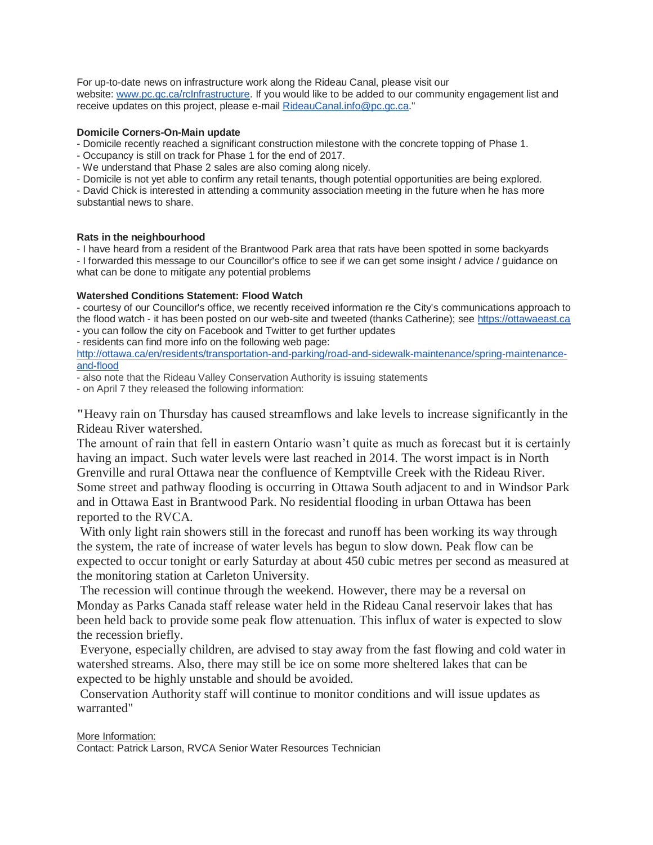For up-to-date news on infrastructure work along the Rideau Canal, please visit our website: [www.pc.gc.ca/rcInfrastructure.](http://www.pc.gc.ca/rcInfrastructure) If you would like to be added to our community engagement list and receive updates on this project, please e-mail [RideauCanal.info@pc.gc.ca.](mailto:RideauCanal.info@pc.gc.ca)"

# **Domicile Corners-On-Main update**

- Domicile recently reached a significant construction milestone with the concrete topping of Phase 1.

- Occupancy is still on track for Phase 1 for the end of 2017.

- We understand that Phase 2 sales are also coming along nicely.

- Domicile is not yet able to confirm any retail tenants, though potential opportunities are being explored.

- David Chick is interested in attending a community association meeting in the future when he has more substantial news to share.

#### **Rats in the neighbourhood**

- I have heard from a resident of the Brantwood Park area that rats have been spotted in some backyards - I forwarded this message to our Councillor's office to see if we can get some insight / advice / guidance on what can be done to mitigate any potential problems

# **Watershed Conditions Statement: Flood Watch**

- courtesy of our Councillor's office, we recently received information re the City's communications approach to the flood watch - it has been posted on our web-site and tweeted (thanks Catherine); see [https://ottawaeast.ca](https://ottawaeast.ca/) - you can follow the city on Facebook and Twitter to get further updates

- residents can find more info on the following web page:

[http://ottawa.ca/en/residents/transportation-and-parking/road-and-sidewalk-maintenance/spring-maintenance](http://ottawa.ca/en/residents/transportation-and-parking/road-and-sidewalk-maintenance/spring-maintenance-and-flood)[and-flood](http://ottawa.ca/en/residents/transportation-and-parking/road-and-sidewalk-maintenance/spring-maintenance-and-flood)

- also note that the Rideau Valley Conservation Authority is issuing statements

- on April 7 they released the following information:

**"**Heavy rain on Thursday has caused streamflows and lake levels to increase significantly in the Rideau River watershed.

The amount of rain that fell in eastern Ontario wasn't quite as much as forecast but it is certainly having an impact. Such water levels were last reached in 2014. The worst impact is in North Grenville and rural Ottawa near the confluence of Kemptville Creek with the Rideau River. Some street and pathway flooding is occurring in Ottawa South adjacent to and in Windsor Park and in Ottawa East in Brantwood Park. No residential flooding in urban Ottawa has been reported to the RVCA.

With only light rain showers still in the forecast and runoff has been working its way through the system, the rate of increase of water levels has begun to slow down. Peak flow can be expected to occur tonight or early Saturday at about 450 cubic metres per second as measured at the monitoring station at Carleton University.

The recession will continue through the weekend. However, there may be a reversal on Monday as Parks Canada staff release water held in the Rideau Canal reservoir lakes that has been held back to provide some peak flow attenuation. This influx of water is expected to slow the recession briefly.

Everyone, especially children, are advised to stay away from the fast flowing and cold water in watershed streams. Also, there may still be ice on some more sheltered lakes that can be expected to be highly unstable and should be avoided.

Conservation Authority staff will continue to monitor conditions and will issue updates as warranted"

## More Information:

Contact: Patrick Larson, RVCA Senior Water Resources Technician